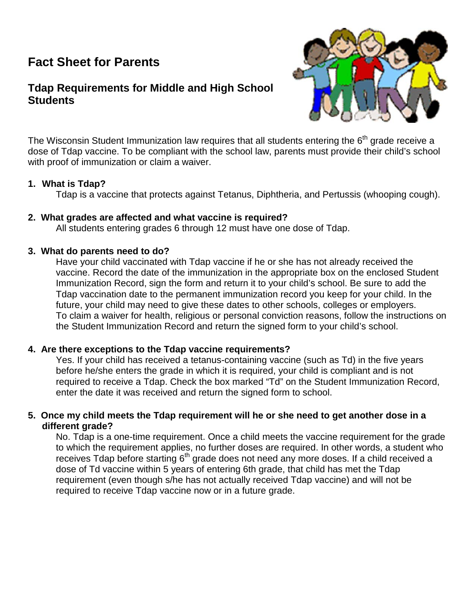# **Fact Sheet for Parents**

## **Tdap Requirements for Middle and High School Students**



The Wisconsin Student Immunization law requires that all students entering the  $6<sup>th</sup>$  grade receive a dose of Tdap vaccine. To be compliant with the school law, parents must provide their child's school with proof of immunization or claim a waiver.

#### **1. What is Tdap?**

Tdap is a vaccine that protects against Tetanus, Diphtheria, and Pertussis (whooping cough).

#### **2. What grades are affected and what vaccine is required?**

All students entering grades 6 through 12 must have one dose of Tdap.

#### **3. What do parents need to do?**

Have your child vaccinated with Tdap vaccine if he or she has not already received the vaccine. Record the date of the immunization in the appropriate box on the enclosed Student Immunization Record, sign the form and return it to your child's school. Be sure to add the Tdap vaccination date to the permanent immunization record you keep for your child. In the future, your child may need to give these dates to other schools, colleges or employers. To claim a waiver for health, religious or personal conviction reasons, follow the instructions on the Student Immunization Record and return the signed form to your child's school.

#### **4. Are there exceptions to the Tdap vaccine requirements?**

Yes. If your child has received a tetanus-containing vaccine (such as Td) in the five years before he/she enters the grade in which it is required, your child is compliant and is not required to receive a Tdap. Check the box marked "Td" on the Student Immunization Record, enter the date it was received and return the signed form to school.

#### **5. Once my child meets the Tdap requirement will he or she need to get another dose in a different grade?**

No. Tdap is a one-time requirement. Once a child meets the vaccine requirement for the grade to which the requirement applies, no further doses are required. In other words, a student who receives Tdap before starting 6<sup>th</sup> grade does not need any more doses. If a child received a dose of Td vaccine within 5 years of entering 6th grade, that child has met the Tdap requirement (even though s/he has not actually received Tdap vaccine) and will not be required to receive Tdap vaccine now or in a future grade.